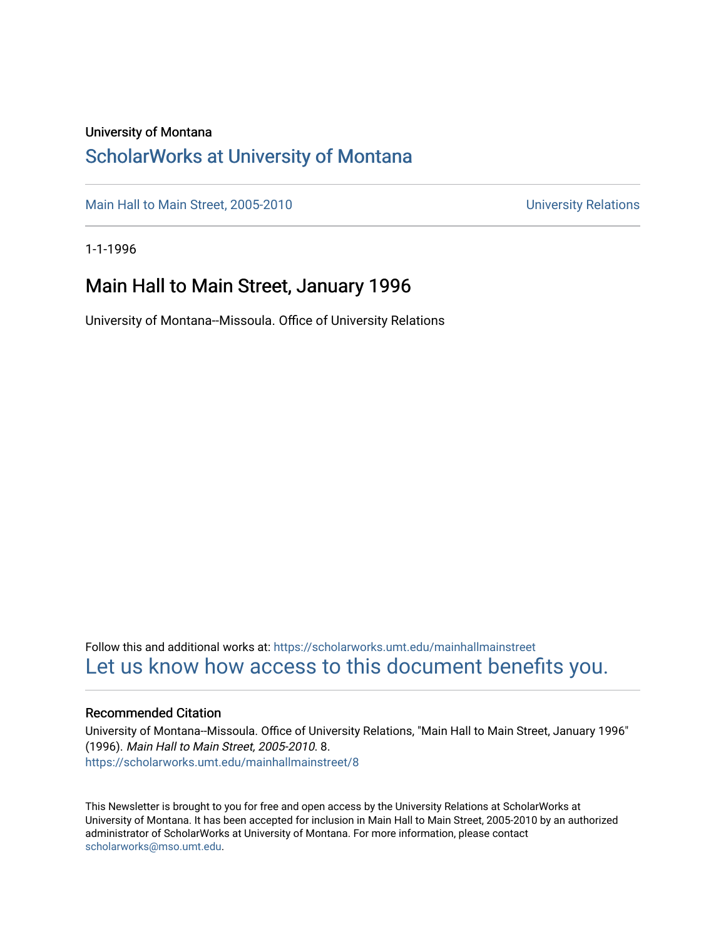### University of Montana

### [ScholarWorks at University of Montana](https://scholarworks.umt.edu/)

[Main Hall to Main Street, 2005-2010](https://scholarworks.umt.edu/mainhallmainstreet) Main Hall to Main Street, 2005-2010

1-1-1996

### Main Hall to Main Street, January 1996

University of Montana--Missoula. Office of University Relations

Follow this and additional works at: [https://scholarworks.umt.edu/mainhallmainstreet](https://scholarworks.umt.edu/mainhallmainstreet?utm_source=scholarworks.umt.edu%2Fmainhallmainstreet%2F8&utm_medium=PDF&utm_campaign=PDFCoverPages) [Let us know how access to this document benefits you.](https://goo.gl/forms/s2rGfXOLzz71qgsB2) 

#### Recommended Citation

University of Montana--Missoula. Office of University Relations, "Main Hall to Main Street, January 1996" (1996). Main Hall to Main Street, 2005-2010. 8. [https://scholarworks.umt.edu/mainhallmainstreet/8](https://scholarworks.umt.edu/mainhallmainstreet/8?utm_source=scholarworks.umt.edu%2Fmainhallmainstreet%2F8&utm_medium=PDF&utm_campaign=PDFCoverPages) 

This Newsletter is brought to you for free and open access by the University Relations at ScholarWorks at University of Montana. It has been accepted for inclusion in Main Hall to Main Street, 2005-2010 by an authorized administrator of ScholarWorks at University of Montana. For more information, please contact [scholarworks@mso.umt.edu.](mailto:scholarworks@mso.umt.edu)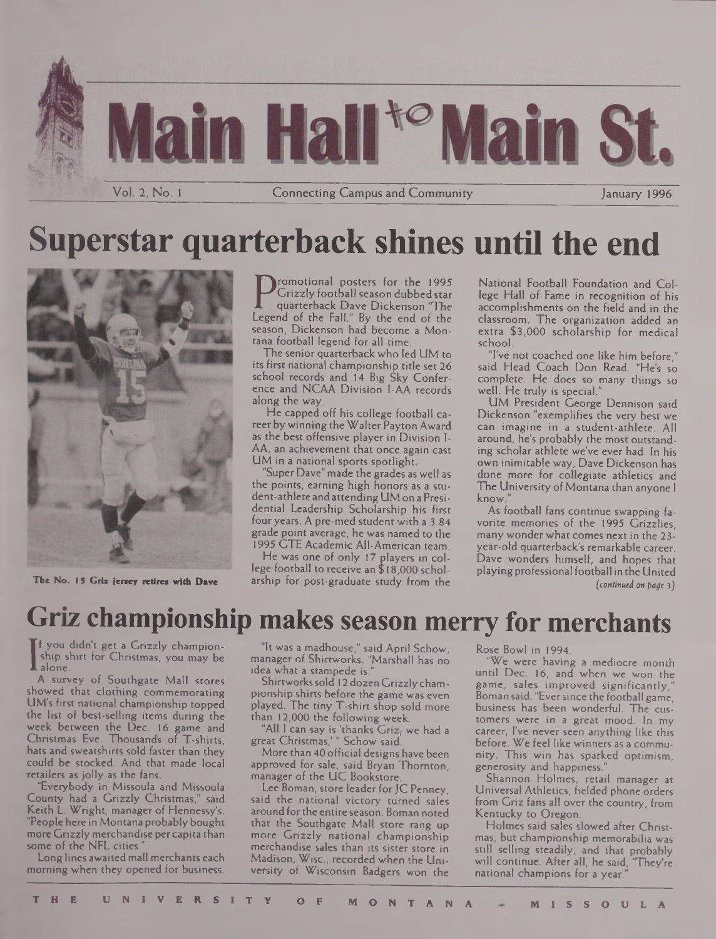

# **Superstar quarterback shines until the end**



**The No. 15 Griz jeney retire\* with Dave**

Crizzly football season dubbed star<br>quarterback Dave Dickenson "The<br>Legend of the Fall." By the end of the<br>season. Dickenson had become a Mon romotional posters for the 1995 Grizzly football season dubbed star quarterback Dave Dickenson "The season, Dickenson had become a Montana football legend for all time.

The senior quarterback who led UM to its first national championship title set 26 school records and 14 Big Sky Conference and NCAA Division I-AA records along the way.

He capped off his college football career by winning the Walter Payton Award as the best offensive player in Division I-AA, an achievement that once again cast UM in a national sports spotlight.

"Super Dave" made the grades as well as the points, earning high honors as a student-athlete andattending UM on a Presidential Leadership Scholarship his first four years. A pre-med student with a 3.84 grade point average, he was named to the 1995 GTE Academic All-American team.

He was one of only 17 players in college football to receive an \$ 18,000 scholarship for post-graduate study from the National Football Foundation and College Hall of Fame in recognition of his accomplishments on the field and in the classroom. The organization added an extra \$3,000 scholarship for medical school.

'Tve not coached one like him before," said Head Coach Don Read. "He's so complete. He does so many things so well. He truly is special."

UM President George Dennison said Dickenson "exemplifies the very best we can imagine in a student-athlete. All around, he's probably the most outstanding scholar athlete we've ever had. In his own inimitable way, Dave Dickenson has done more for collegiate athletics and The University of Montana than anyone I know."

As football fans continue swapping favorite memories of the 1995 Grizzlies, many wonder what comes next in the 23 year-old quarterback's remarkable career. Dave wonders himself, and hopes that playingprofessional football in the United *(continued on page* 3)

## **Griz championship makes season merry for merchants**

A survey f you didn't get a Grizzly championship shirt for Christmas, you may be

A survey of Southgate Mall stores showed that clothing commemorating UM's first national championship topped the list of best-selling items during the week between the Dec. 16 game and Christmas Eve. Thousands of T-shirts, hats and sweatshirts sold faster than they could be stocked. And that made local retailers as jolly as the fans.

"Everybody in Missoula and Missoula County had a Grizzly Christmas," said Keith L. Wright, manager of Hennessy's. "People here in Montanaprobably bought more Grizzlymerchandise percapita than some of the NFL cities.

Long lines awaited mall merchants each morning when they opened for business.

"It was a madhouse," said April Schow, manager of Shirtworks. "Marshall has no idea what a stampede is."

Shirtworkssold 12 dozen Grizzlychampionship shirts before the game was even played. The tiny T-shirt shop sold more than 12,000 the following week.

"All <sup>1</sup> can say is 'thanks Griz,- we had a great Christmas,'" Schow said.

More than 40 official designs have been approved for sale, said Bryan Thornton, manager of the UC Bookstore.

Lee Boman, store leader for JC Penney. said the national victory turned sales around forthe entire season. Boman noted that the Southgate Mall store rang up more Grizzly national championship merchandise sales than its sister store in Madison, Wise., recorded when the University of Wisconsin Badgers won the Rose Bowl in 1994.

"We were having a mediocre month until Dec. 16, and when we won the game, sales improved significantly," Boman said. "Eversince the football game, business has been wonderful. The customers were in a great mood. In my career, I've never seen anything like this before. We feel like winners as a community. This win has sparked optimism, generosity and happiness."

Shannon Holmes, retail manager at Universal Athletics, fielded phone orders from Griz fans all over the country, from Kentucky to Oregon.

Holmes said sales slowed after Christmas, but championship memorabilia was still selling steadily, and that probably will continue. After all, he said, "They're national champions for a year."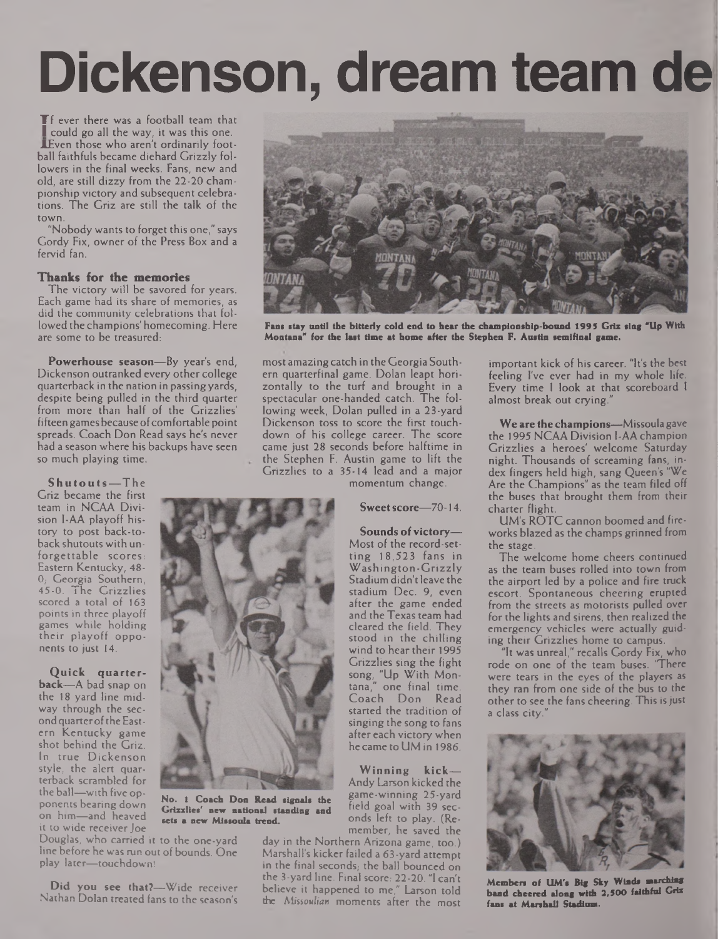# **Dickenson, dream team de**

**The ever there was a football team that** could go all the way, it was this one. AEven those who aren't ordinarily football faithfuls became diehard Grizzly followers in the final weeks. Fans, new and old, are still dizzy from the 22-20 championship victory and subsequent celebrations. The Griz are still the talk of the town.

"Nobody wants to forget this one," says Gordy Fix, owner of the Press Box and a fervid fan.

#### **Thanks for the memories**

The victory will be savored for years. Each game had its share of memories, as did the community celebrations that followed the champions' homecoming. Here are some to be treasured:

**Powerhouse season—**By year's end, Dickenson outranked every other college quarterback in the nation in passingyards, despite being pulled in the third quarter from more than half of the Grizzlies' fifteen games because of comfortable point spreads. Coach Don Read says he's never had a season where his backups have seen so much playing time.

**Shutouts—The** Griz became the first team in NCAA Division l-AA playoff history to post back-toback shutouts with unforgettable scores: Eastern Kentucky, 48- 0; Georgia Southern, 45-0. The Grizzlies scored a total of 163 points in three playoff games while holding their playoff opponents to just 14.

**Quick quarterback—**A bad snap on the 18 yard line midway through the secondquarterofthe Eastern Kentucky game shot behind the Griz. In true Dickenson style, the alert quarterback scrambled for the ball—with five opponents bearing down on him—and heaved it to wide receiver Joe

Douglas, who carried it to the one-yard line before he was run out of bounds. One play later—touchdown!

**Did you see that?—**Wide receiver Nathan Dolan treated fans to the season's



**Fans stay until the bitterly cold end to hear the championship-bound 1995 Griz ling "Up With Montana\* for the last time at home after the Stephen F. Austin semifinal game.**

most amazing catch in the Georgia Southern quarterfinal game. Dolan leapt horizontally to the turf and brought in a spectacular one-handed catch. The following week, Dolan pulled in a 23-yard Dickenson toss to score the first touchdown of his college career. The score came just 28 seconds before halftime in the Stephen F. Austin game to lift the Grizzlies to a 35-14 lead and a major

momentum change.

**Sweetscore—**70-14.

**Sounds of victory—** Most of the record-setting 18,523 fans in Washington-Grizzly Stadium didn't leave the stadium Dec. 9, even after the game ended and the Texas team had cleared the field. They stood in the chilling wind to hear their 1995 Grizzlies sing the fight song, "Up With Montana," one final time. Coach Don Read started the tradition of singing the song to fans after each victory when he came to UM in 1986.

**Winning kick—** Andy Larson kicked the game-winning 25-yard field goal with 39 seconds left to play. (Remember, he saved the

day in the Northern Arizona game, too.) Marshall's kicker failed a 63-yard attempt in the final seconds, the ball bounced on the 3-yard line. Final score: 22-20. "I can't believe it happened to me," Larson told the *Missoulian* moments after the most

important kick of his career. "It's the best feeling I've ever had in my whole life. Every time <sup>I</sup> look at that scoreboard <sup>1</sup> almost break out crying."

**We are thechampions—**Missoulagave the 1995 NCAA Division I-AA champion Grizzlies a heroes' welcome Saturday night. Thousands of screaming fans, index fingers held high, sang Queen's "We Are the Champions" as the team filed off the buses that brought them from their charter flight.

UM's ROTC cannon boomed and fireworks blazed as the champs grinned from the stage.

The welcome home cheers continued as the team buses rolled into town from the airport led by a police and fire truck escort. Spontaneous cheering erupted from the streets as motorists pulled over for the lights and sirens, then realized the emergency vehicles were actually guiding their Grizzlies home to campus.

"It was unreal," recalls Gordy Fix, who rode on one of the team buses. "There were tears in the eyes of the players as they ran from one side of the bus to the other to see the fans cheering. This is just a class city.



**Members of UM's Big Sky Winds marching band cheered along with 2,500 faithful Griz fans at Marshall Stadium.**



**No. 1 Coach Don Read signals the Grizzlies' new national standing and sets a new Missoula trend.**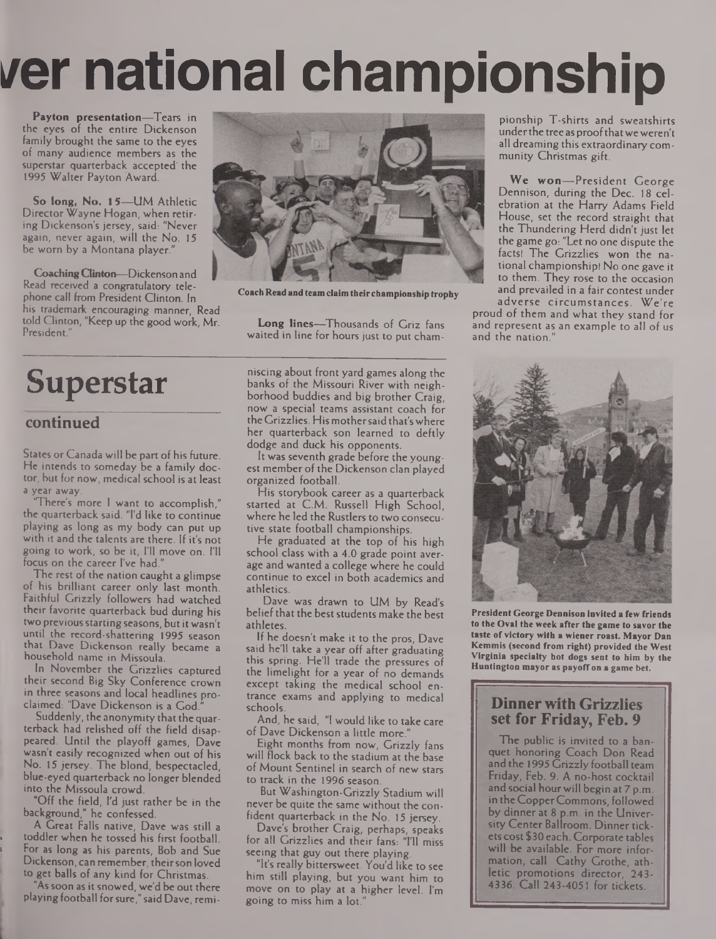# **i/er national championship**

**Payton presentation—**Tears in the eyes of the entire Dickenson family brought the same to the eyes of many audience members as the superstar quarterback accepted' the 1995 Walter Payton Award.

**So long, No. 1**5—UM Athletic Director Wayne Hogan, when retiring Dickenson's jersey, said: "Never again, never again, will the No. 15 be worn by a Montana player.'

**CoachingClinton—**Dickenson and Read received a congratulatory telephone call from President Clinton. In his trademark encouraging manner, Read told Clinton, "Keep up the good work, Mr. President.

# **Superstar**

### **continued**

States or Canada will be part of his future. He intends to someday be a family doctor, but for now, medical school is at least a year away.

"There's more <sup>I</sup> want to accomplish," the quarterback said. "I'd like to continue playing as long as my body can put up with it and the talents are there. If it's not going to work, so be it, I'll move on. I'll focus on the career I've had.

The rest of the nation caught a glimpse of his brilliant career only last month. Faithful Grizzly followers had watched their favorite quarterback bud during his two previous starting seasons, but it wasn't until the record-shattering 1995 season that Dave Dickenson really became a household name in Missoula.

In November the Grizzlies captured their second Big Sky Conference crown in three seasons and local headlines proclaimed: "Dave Dickenson is a God.

Suddenly, the anonymity that the quarterback had relished off the field disappeared. Until the playoff games, Dave wasn't easily recognized when out of his No. 15 jersey. The blond, bespectacled, blue-eyed quarterback no longer blended into the Missoula crowd.

"Off the field, I'd just rather be in the background," he confessed.

A Great Falls native, Dave was still a **toddler when he tossed his first football.** For as long as his parents, Bob and Sue . Dickenson, can remember, theirson loved to get balls of any kind for Christmas.

As soon as it snowed, we'd be out there playing football forsure," said Dave, remi-



**Coach Read and team claim their championship trophy**

**Long lines—**Thousands of Griz fans waited in line for hours just to put cham-

niscing about front yard games along the banks of the Missouri River with neighborhood buddies and big brother Craig, now a special teams assistant coach for the Grizzlies. His mothersaid that'swhere her quarterback son learned to deftly dodge and duck his opponents.

It was seventh grade before the youngest member of the Dickenson clan played organized football.

His storybook career as a quarterback started at C.M. Russell High School, where he led the Rustlers to two consecutive state football championships.

He graduated at the top of his high school class with a 4.0 grade point average and wanted a college where he could continue to excel in both academics and athletics.

Dave was drawn to UM by Read's belief that the best students make the best athletes.

If he doesn't make it to the pros, Dave said he'll take a year off after graduating this spring. He'll trade the pressures of the limelight for a year of no demands except taking the medical school entrance exams and applying to medical schools.

And, he said, "<sup>I</sup> would like to take care of Dave Dickenson a little more."

Eight months from now, Grizzly fans will flock back to the stadium at the base of Mount Sentinel in search of new stars to track in the 1996 season.

But Washington-Grizzly Stadium will never be quite the same without the confident quarterback in the No. 15 jersey.

Dave's brother Craig, perhaps, speaks for all Grizzlies and their fans: "I'll miss seeing that guy out there playing.

"It's really bittersweet. You'd like to see him still playing, but you want him to move on to play at a higher level. I'm going to miss him a lot."

pionship T-shirts and sweatshirts under the tree as proof that we weren't all dreaming this extraordinary community Christmas gift.

**We won—**President George Dennison, during the Dec. 18 celebration at the Harry Adams Field House, set the record straight that the Thundering Herd didn't just let the game go: "Let no one dispute the facts! The Grizzlies won the national championship! No one gave it to them. They rose to the occasion and prevailed in a fair contest under adverse circumstances. We're

proud of them and what they stand for and represent as an example to all of us and the nation.



**President George Dennison invited a few friends to the Oval the week after the game to savor the taste ofvictory with a wiener roast. Mayor Dan Kemmis (second from right) provided the West Virginia specialty hot dogs sent to him by the Huntington mayor as payoff on a game bet.**

### **Dinner with Grizzlies set for Friday, Feb. 9**

The public is invited to a banquet honoring Coach Don Read and the 1995 Grizzly football team Friday, Feb. 9. A no-host cocktail and social hourwill begin at 7 p.m. in theCopperCommons, followed by dinner at 8 p.m. in the University Center Ballroom. Dinner tickets cost \$30 each. Corporate tables will be available. For more information, call Cathy Grothe, athletic promotions director, 243- 4336. Call 243-4051 for tickets.